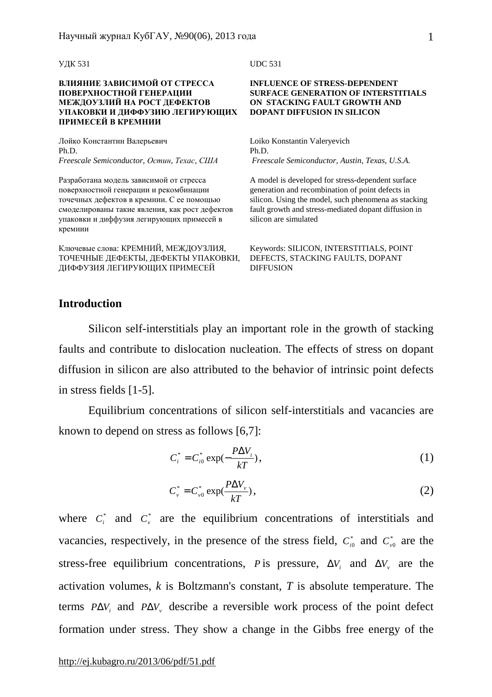1

УДК 531

### **ВЛИЯНИЕ ЗАВИСИМОЙ ОТ СТРЕССА ПОВЕРХНОСТНОЙ ГЕНЕРАЦИИ МЕЖДОУЗЛИЙ НА РОСТ ДЕФЕКТОВ УПАКОВКИ И ДИФФУЗИЮ ЛЕГИРУЮЩИХ ПРИМЕСЕЙ В КРЕМНИИ**

Лойко Константин Валерьевич Ph.D. *Freescale Semiconductor, Остин, Техас, США*

Разработана модель зависимой от стресса поверхностной генерации и рекомбинации точечных дефектов в кремнии. С ее помощью смоделированы такие явления, как рост дефектов упаковки и диффузия легирующих примесей в кремнии

Ключевые слова: КРЕМНИЙ, МЕЖДОУЗЛИЯ, ТОЧЕЧНЫЕ ДЕФЕКТЫ, ДЕФЕКТЫ УПАКОВКИ, ДИФФУЗИЯ ЛЕГИРУЮЩИХ ПРИМЕСЕЙ

UDC 531

#### **INFLUENCE OF STRESS-DEPENDENT SURFACE GENERATION OF INTERSTITIALS ON STACKING FAULT GROWTH AND DOPANT DIFFUSION IN SILICON**

Loiko Konstantin Valeryevich Ph.D. *Freescale Semiconductor, Austin, Texas, U.S.A.* 

A model is developed for stress-dependent surface generation and recombination of point defects in silicon. Using the model, such phenomena as stacking fault growth and stress-mediated dopant diffusion in silicon are simulated

Keywords: SILICON, INTERSTITIALS, POINT DEFECTS, STACKING FAULTS, DOPANT DIFFUSION

# **Introduction**

Silicon self-interstitials play an important role in the growth of stacking faults and contribute to dislocation nucleation. The effects of stress on dopant diffusion in silicon are also attributed to the behavior of intrinsic point defects in stress fields [1-5].

Equilibrium concentrations of silicon self-interstitials and vacancies are known to depend on stress as follows [6,7]:

$$
C_i^* = C_{i0}^* \exp(-\frac{P\Delta V_i}{kT}),\tag{1}
$$

$$
C_{\nu}^* = C_{\nu 0}^* \exp(\frac{P \Delta V_{\nu}}{kT}), \qquad (2)
$$

where  $C_i^*$  and  $C_v^*$  are the equilibrium concentrations of interstitials and vacancies, respectively, in the presence of the stress field,  $C_{i0}^*$  and  $C_{v0}^*$  are the stress-free equilibrium concentrations, *P* is pressure,  $\Delta V_i$  and  $\Delta V_i$  are the activation volumes, *k* is Boltzmann's constant, *T* is absolute temperature. The terms *P*Δ*V<sup>i</sup>* and *P*Δ*V<sup>v</sup>* describe a reversible work process of the point defect formation under stress. They show a change in the Gibbs free energy of the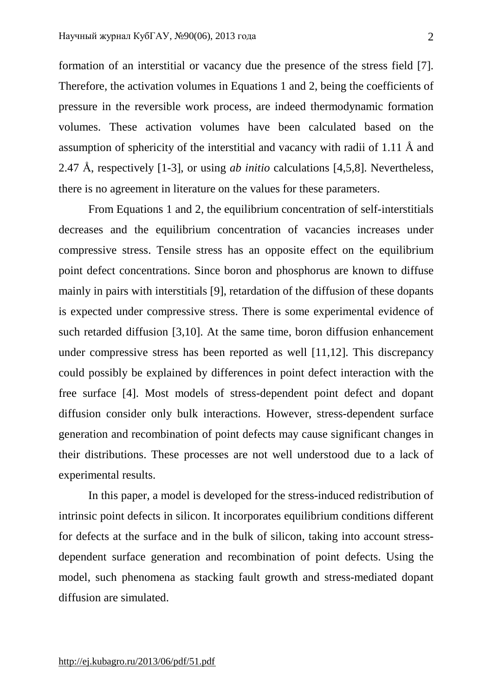formation of an interstitial or vacancy due the presence of the stress field [7]. Therefore, the activation volumes in Equations 1 and 2, being the coefficients of pressure in the reversible work process, are indeed thermodynamic formation volumes. These activation volumes have been calculated based on the assumption of sphericity of the interstitial and vacancy with radii of 1.11 Å and 2.47 Å, respectively [1-3], or using *ab initio* calculations [4,5,8]. Nevertheless, there is no agreement in literature on the values for these parameters.

From Equations 1 and 2, the equilibrium concentration of self-interstitials decreases and the equilibrium concentration of vacancies increases under compressive stress. Tensile stress has an opposite effect on the equilibrium point defect concentrations. Since boron and phosphorus are known to diffuse mainly in pairs with interstitials [9], retardation of the diffusion of these dopants is expected under compressive stress. There is some experimental evidence of such retarded diffusion [3,10]. At the same time, boron diffusion enhancement under compressive stress has been reported as well [11,12]. This discrepancy could possibly be explained by differences in point defect interaction with the free surface [4]. Most models of stress-dependent point defect and dopant diffusion consider only bulk interactions. However, stress-dependent surface generation and recombination of point defects may cause significant changes in their distributions. These processes are not well understood due to a lack of experimental results.

In this paper, a model is developed for the stress-induced redistribution of intrinsic point defects in silicon. It incorporates equilibrium conditions different for defects at the surface and in the bulk of silicon, taking into account stressdependent surface generation and recombination of point defects. Using the model, such phenomena as stacking fault growth and stress-mediated dopant diffusion are simulated.

<http://ej.kubagro.ru/2013/06/pdf/51.pdf>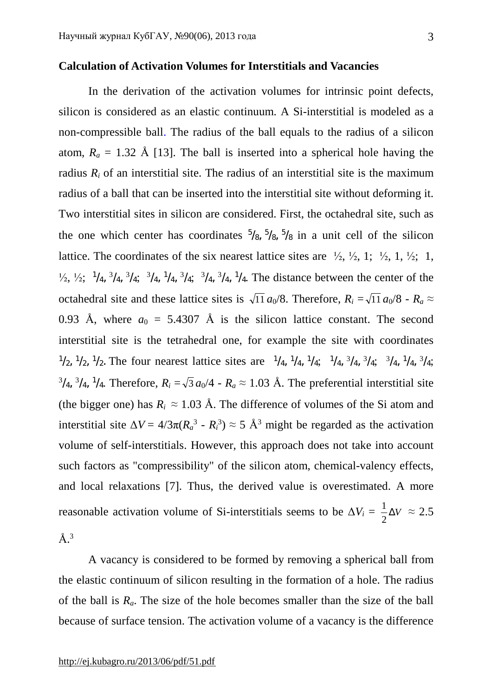## **Calculation of Activation Volumes for Interstitials and Vacancies**

In the derivation of the activation volumes for intrinsic point defects, silicon is considered as an elastic continuum. A Si-interstitial is modeled as a non-compressible ball. The radius of the ball equals to the radius of a silicon atom,  $R_a = 1.32$  Å [13]. The ball is inserted into a spherical hole having the radius  $R_i$  of an interstitial site. The radius of an interstitial site is the maximum radius of a ball that can be inserted into the interstitial site without deforming it. Two interstitial sites in silicon are considered. First, the octahedral site, such as the one which center has coordinates  $\frac{5}{8}$ ,  $\frac{5}{8}$ ,  $\frac{5}{8}$  in a unit cell of the silicon lattice. The coordinates of the six nearest lattice sites are  $\frac{1}{2}$ ,  $\frac{1}{2}$ ,  $\frac{1}{2}$ ,  $\frac{1}{2}$ ,  $\frac{1}{2}$ ,  $\frac{1}{2}$ ,  $\frac{1}{2}$ ,  $\frac{1}{2}$ ,  $\frac{1}{2}$ ,  $\frac{1}{2}$ ,  $\frac{1}{2}$ ,  $\frac{1}{2}$ ,  $\frac{1}{2}$ ,  $\frac{1}{2}$ ,  $\frac{1$  $\frac{1}{2}$ ,  $\frac{1}{4}$ ,  $\frac{3}{4}$ ,  $\frac{3}{4}$ ,  $\frac{3}{4}$ ,  $\frac{1}{4}$ ,  $\frac{3}{4}$ ,  $\frac{3}{4}$ ,  $\frac{3}{4}$ ,  $\frac{1}{4}$ . The distance between the center of the octahedral site and these lattice sites is  $\sqrt{11} a_0/8$ . Therefore,  $R_i = \sqrt{11} a_0/8 - R_a \approx$ 0.93 Å, where  $a_0 = 5.4307$  Å is the silicon lattice constant. The second interstitial site is the tetrahedral one, for example the site with coordinates  $\frac{1}{2}$ ,  $\frac{1}{2}$ ,  $\frac{1}{2}$ . The four nearest lattice sites are  $\frac{1}{4}$ ,  $\frac{1}{4}$ ,  $\frac{1}{4}$ ,  $\frac{1}{4}$ ,  $\frac{3}{4}$ ,  $\frac{3}{4}$ ,  $\frac{3}{4}$ ,  $\frac{3}{4}$ ,  $\frac{1}{4}$ ,  $\frac{3}{4}$ ;  $^{3}/_{4}$ ,  $^{3}/_{4}$ ,  $^{1}/_{4}$ . Therefore,  $R_i = \sqrt{3} a_0/4 - R_a \approx 1.03$  Å. The preferential interstitial site (the bigger one) has  $R_i \approx 1.03$  Å. The difference of volumes of the Si atom and interstitial site  $\Delta V = 4/3\pi (R_a^3 - R_i^3) \approx 5$  Å<sup>3</sup> might be regarded as the activation volume of self-interstitials. However, this approach does not take into account such factors as "compressibility" of the silicon atom, chemical-valency effects, and local relaxations [7]. Thus, the derived value is overestimated. A more reasonable activation volume of Si-interstitials seems to be  $\Delta V_i = \frac{1}{2} \Delta V_i$ 2  $\frac{1}{2}\Delta V \approx 2.5$  $\rm \AA.^3$ 

A vacancy is considered to be formed by removing a spherical ball from the elastic continuum of silicon resulting in the formation of a hole. The radius of the ball is *Ra*. The size of the hole becomes smaller than the size of the ball because of surface tension. The activation volume of a vacancy is the difference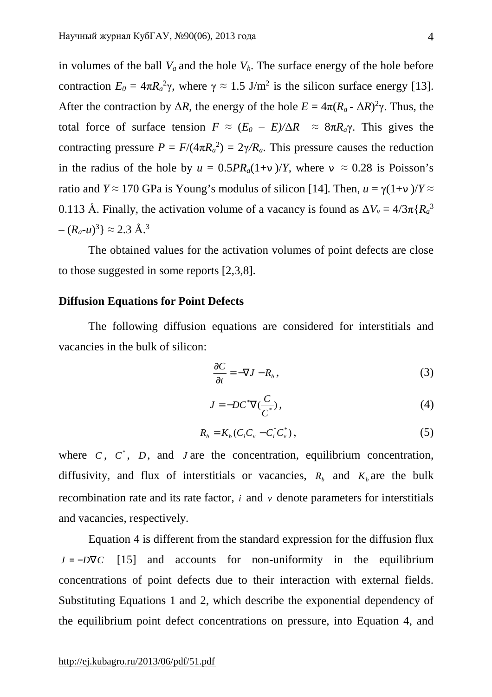in volumes of the ball  $V_a$  and the hole  $V_h$ . The surface energy of the hole before contraction  $E_0 = 4\pi R_a^2 \gamma$ , where  $\gamma \approx 1.5$  J/m<sup>2</sup> is the silicon surface energy [13]. After the contraction by  $\Delta R$ , the energy of the hole  $E = 4\pi (R_a - \Delta R)^2 \gamma$ . Thus, the total force of surface tension  $F \approx (E_0 - E)/\Delta R \approx 8\pi R_a \gamma$ . This gives the contracting pressure  $P = F/(4\pi R_a^2) = 2\gamma/R_a$ . This pressure causes the reduction in the radius of the hole by  $u = 0.5PR_a(1+n)/Y$ , where  $n \approx 0.28$  is Poisson's ratio and *Y*  $\approx$  170 GPa is Young's modulus of silicon [14]. Then,  $u = \gamma(1+n)/Y \approx$ 0.113 Å. Finally, the activation volume of a vacancy is found as  $\Delta V_v = 4/3\pi \{R_a^3\}$  $-(R_a - u)^3$   $\approx$  2.3 Å.<sup>3</sup>

The obtained values for the activation volumes of point defects are close to those suggested in some reports [2,3,8].

## **Diffusion Equations for Point Defects**

The following diffusion equations are considered for interstitials and vacancies in the bulk of silicon:

$$
\frac{\partial C}{\partial t} = -\nabla J - R_b \,,\tag{3}
$$

$$
J = -DC^*\nabla(\frac{C}{C^*}),\tag{4}
$$

$$
R_b = K_b (C_i C_v - C_i^* C_v^*), \tag{5}
$$

where  $C$ ,  $C^*$ ,  $D$ , and *J* are the concentration, equilibrium concentration, diffusivity, and flux of interstitials or vacancies,  $R_b$  and  $K_b$  are the bulk recombination rate and its rate factor, *i* and *v* denote parameters for interstitials and vacancies, respectively.

Equation 4 is different from the standard expression for the diffusion flux  $J = -D\nabla C$  [15] and accounts for non-uniformity in the equilibrium concentrations of point defects due to their interaction with external fields. Substituting Equations 1 and 2, which describe the exponential dependency of the equilibrium point defect concentrations on pressure, into Equation 4, and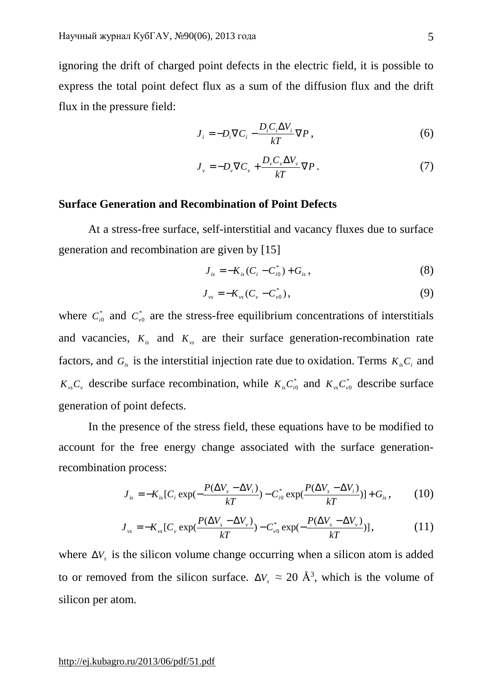ignoring the drift of charged point defects in the electric field, it is possible to express the total point defect flux as a sum of the diffusion flux and the drift flux in the pressure field:

$$
J_i = -D_i \nabla C_i - \frac{D_i C_i \Delta V_i}{kT} \nabla P, \qquad (6)
$$

$$
J_{\nu} = -D_{\nu} \nabla C_{\nu} + \frac{D_{\nu} C_{\nu} \Delta V_{\nu}}{kT} \nabla P.
$$
 (7)

# **Surface Generation and Recombination of Point Defects**

At a stress-free surface, self-interstitial and vacancy fluxes due to surface generation and recombination are given by [15]

$$
J_{is} = -K_{is}(C_i - C_{i0}^*) + G_{is}, \qquad (8)
$$

$$
J_{\nu s} = -K_{\nu s} (C_{\nu} - C_{\nu 0}^*), \qquad (9)
$$

where  $C_{i0}^*$  and  $C_{v0}^*$  are the stress-free equilibrium concentrations of interstitials and vacancies,  $K_{is}$  and  $K_{ys}$  are their surface generation-recombination rate factors, and  $G_i$  is the interstitial injection rate due to oxidation. Terms  $K_{iS}C_i$  and  $K_vC_v$  describe surface recombination, while  $K_vC_{v0}^*$  and  $K_vC_{v0}^*$  describe surface generation of point defects.

In the presence of the stress field, these equations have to be modified to account for the free energy change associated with the surface generationrecombination process:

$$
J_{is} = -K_{is}[C_i \exp(-\frac{P(\Delta V_s - \Delta V_i)}{kT}) - C_{i0}^* \exp(\frac{P(\Delta V_s - \Delta V_i)}{kT})] + G_{is}, \qquad (10)
$$

$$
J_{\nu s} = -K_{\nu s} [C_{\nu} \exp(\frac{P(\Delta V_s - \Delta V_{\nu})}{kT}) - C_{\nu 0}^{*} \exp(-\frac{P(\Delta V_s - \Delta V_{\nu})}{kT})], \qquad (11)
$$

where  $\Delta V_s$  is the silicon volume change occurring when a silicon atom is added to or removed from the silicon surface.  $\Delta V_s \approx 20 \text{ Å}^3$ , which is the volume of silicon per atom.

<http://ej.kubagro.ru/2013/06/pdf/51.pdf>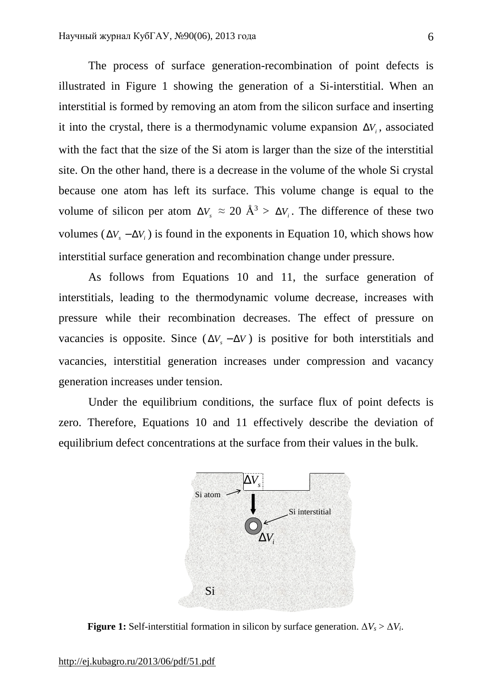The process of surface generation-recombination of point defects is illustrated in Figure 1 showing the generation of a Si-interstitial. When an interstitial is formed by removing an atom from the silicon surface and inserting it into the crystal, there is a thermodynamic volume expansion  $\Delta V_i$ , associated with the fact that the size of the Si atom is larger than the size of the interstitial site. On the other hand, there is a decrease in the volume of the whole Si crystal because one atom has left its surface. This volume change is equal to the volume of silicon per atom  $\Delta V_s \approx 20 \text{ Å}^3 > \Delta V_i$ . The difference of these two volumes ( $\Delta V_s - \Delta V_i$ ) is found in the exponents in Equation 10, which shows how interstitial surface generation and recombination change under pressure.

As follows from Equations 10 and 11, the surface generation of interstitials, leading to the thermodynamic volume decrease, increases with pressure while their recombination decreases. The effect of pressure on vacancies is opposite. Since  $(\Delta V, -\Delta V)$  is positive for both interstitials and vacancies, interstitial generation increases under compression and vacancy generation increases under tension.

Under the equilibrium conditions, the surface flux of point defects is zero. Therefore, Equations 10 and 11 effectively describe the deviation of equilibrium defect concentrations at the surface from their values in the bulk.



**Figure 1:** Self-interstitial formation in silicon by surface generation.  $\Delta V_s > \Delta V_i$ .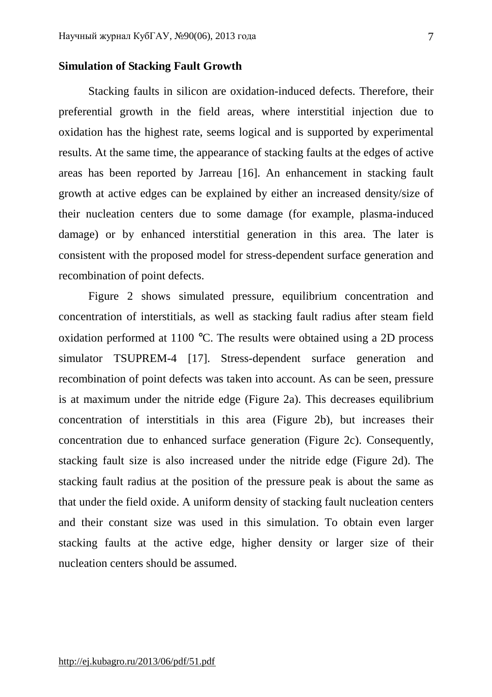## **Simulation of Stacking Fault Growth**

Stacking faults in silicon are oxidation-induced defects. Therefore, their preferential growth in the field areas, where interstitial injection due to oxidation has the highest rate, seems logical and is supported by experimental results. At the same time, the appearance of stacking faults at the edges of active areas has been reported by Jarreau [16]. An enhancement in stacking fault growth at active edges can be explained by either an increased density/size of their nucleation centers due to some damage (for example, plasma-induced damage) or by enhanced interstitial generation in this area. The later is consistent with the proposed model for stress-dependent surface generation and recombination of point defects.

Figure 2 shows simulated pressure, equilibrium concentration and concentration of interstitials, as well as stacking fault radius after steam field oxidation performed at 1100 °C. The results were obtained using a 2D process simulator TSUPREM-4 [17]. Stress-dependent surface generation and recombination of point defects was taken into account. As can be seen, pressure is at maximum under the nitride edge (Figure 2a). This decreases equilibrium concentration of interstitials in this area (Figure 2b), but increases their concentration due to enhanced surface generation (Figure 2c). Consequently, stacking fault size is also increased under the nitride edge (Figure 2d). The stacking fault radius at the position of the pressure peak is about the same as that under the field oxide. A uniform density of stacking fault nucleation centers and their constant size was used in this simulation. To obtain even larger stacking faults at the active edge, higher density or larger size of their nucleation centers should be assumed.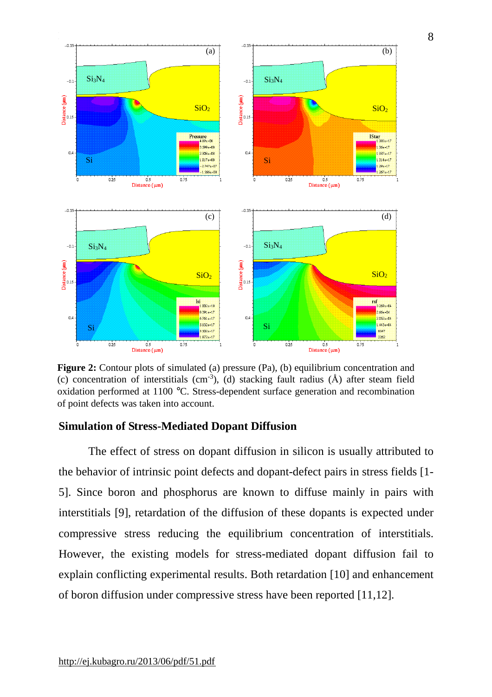

Figure 2: Contour plots of simulated (a) pressure (Pa), (b) equilibrium concentration and (c) concentration of interstitials (cm<sup>-3</sup>), (d) stacking fault radius ( $\hat{A}$ ) after steam field oxidation performed at 1100 °C. Stress-dependent surface generation and recombination of point defects was taken into account.

# **Simulation of Stress-Mediated Dopant Diffusion**

The effect of stress on dopant diffusion in silicon is usually attributed to the behavior of intrinsic point defects and dopant-defect pairs in stress fields [1- 5]. Since boron and phosphorus are known to diffuse mainly in pairs with interstitials [9], retardation of the diffusion of these dopants is expected under compressive stress reducing the equilibrium concentration of interstitials. However, the existing models for stress-mediated dopant diffusion fail to explain conflicting experimental results. Both retardation [10] and enhancement of boron diffusion under compressive stress have been reported [11,12].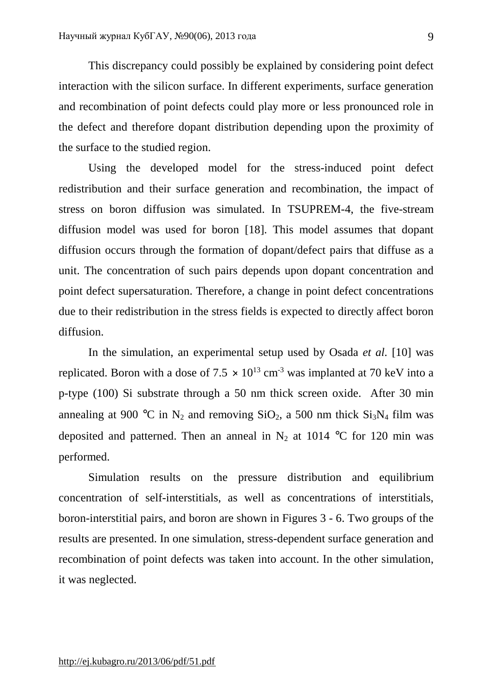This discrepancy could possibly be explained by considering point defect interaction with the silicon surface. In different experiments, surface generation and recombination of point defects could play more or less pronounced role in the defect and therefore dopant distribution depending upon the proximity of the surface to the studied region.

Using the developed model for the stress-induced point defect redistribution and their surface generation and recombination, the impact of stress on boron diffusion was simulated. In TSUPREM-4, the five-stream diffusion model was used for boron [18]. This model assumes that dopant diffusion occurs through the formation of dopant/defect pairs that diffuse as a unit. The concentration of such pairs depends upon dopant concentration and point defect supersaturation. Therefore, a change in point defect concentrations due to their redistribution in the stress fields is expected to directly affect boron diffusion.

In the simulation, an experimental setup used by Osada *et al.* [10] was replicated. Boron with a dose of  $7.5 \times 10^{13}$  cm<sup>-3</sup> was implanted at 70 keV into a p-type (100) Si substrate through a 50 nm thick screen oxide. After 30 min annealing at 900 °C in N<sub>2</sub> and removing  $SiO_2$ , a 500 nm thick  $Si<sub>3</sub>N<sub>4</sub>$  film was deposited and patterned. Then an anneal in  $N_2$  at 1014 °C for 120 min was performed.

Simulation results on the pressure distribution and equilibrium concentration of self-interstitials, as well as concentrations of interstitials, boron-interstitial pairs, and boron are shown in Figures 3 - 6. Two groups of the results are presented. In one simulation, stress-dependent surface generation and recombination of point defects was taken into account. In the other simulation, it was neglected.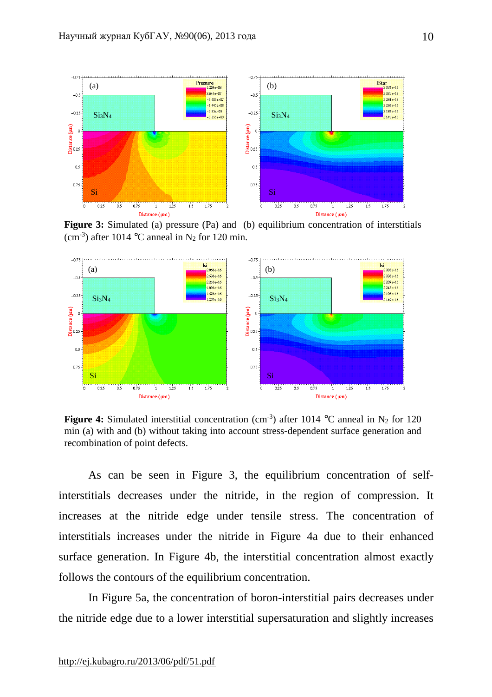

**Figure 3:** Simulated (a) pressure (Pa) and (b) equilibrium concentration of interstitials (cm<sup>-3</sup>) after 1014 °C anneal in N<sub>2</sub> for 120 min.



**Figure 4:** Simulated interstitial concentration (cm<sup>-3</sup>) after 1014 °C anneal in N<sub>2</sub> for 120 min (a) with and (b) without taking into account stress-dependent surface generation and recombination of point defects.

As can be seen in Figure 3, the equilibrium concentration of selfinterstitials decreases under the nitride, in the region of compression. It increases at the nitride edge under tensile stress. The concentration of interstitials increases under the nitride in Figure 4a due to their enhanced surface generation. In Figure 4b, the interstitial concentration almost exactly follows the contours of the equilibrium concentration.

In Figure 5a, the concentration of boron-interstitial pairs decreases under the nitride edge due to a lower interstitial supersaturation and slightly increases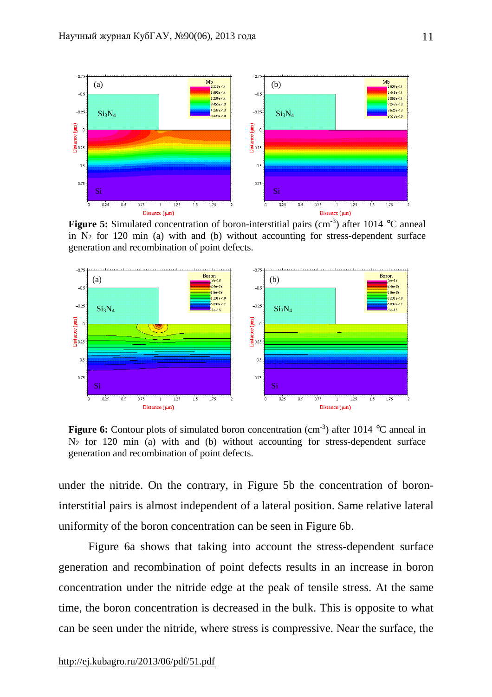

**Figure 5:** Simulated concentration of boron-interstitial pairs (cm<sup>-3</sup>) after 1014 °C anneal in  $N_2$  for 120 min (a) with and (b) without accounting for stress-dependent surface generation and recombination of point defects.



**Figure 6:** Contour plots of simulated boron concentration (cm<sup>-3</sup>) after 1014 °C anneal in  $N_2$  for 120 min (a) with and (b) without accounting for stress-dependent surface generation and recombination of point defects.

under the nitride. On the contrary, in Figure 5b the concentration of boroninterstitial pairs is almost independent of a lateral position. Same relative lateral uniformity of the boron concentration can be seen in Figure 6b.

Figure 6a shows that taking into account the stress-dependent surface generation and recombination of point defects results in an increase in boron concentration under the nitride edge at the peak of tensile stress. At the same time, the boron concentration is decreased in the bulk. This is opposite to what can be seen under the nitride, where stress is compressive. Near the surface, the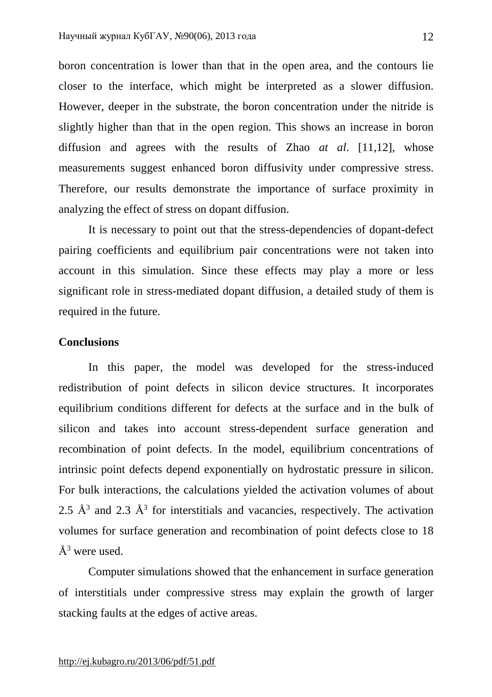boron concentration is lower than that in the open area, and the contours lie closer to the interface, which might be interpreted as a slower diffusion. However, deeper in the substrate, the boron concentration under the nitride is slightly higher than that in the open region. This shows an increase in boron diffusion and agrees with the results of Zhao *at al*. [11,12], whose measurements suggest enhanced boron diffusivity under compressive stress. Therefore, our results demonstrate the importance of surface proximity in analyzing the effect of stress on dopant diffusion.

It is necessary to point out that the stress-dependencies of dopant-defect pairing coefficients and equilibrium pair concentrations were not taken into account in this simulation. Since these effects may play a more or less significant role in stress-mediated dopant diffusion, a detailed study of them is required in the future.

## **Conclusions**

In this paper, the model was developed for the stress-induced redistribution of point defects in silicon device structures. It incorporates equilibrium conditions different for defects at the surface and in the bulk of silicon and takes into account stress-dependent surface generation and recombination of point defects. In the model, equilibrium concentrations of intrinsic point defects depend exponentially on hydrostatic pressure in silicon. For bulk interactions, the calculations yielded the activation volumes of about 2.5  $\AA$ <sup>3</sup> and 2.3  $\AA$ <sup>3</sup> for interstitials and vacancies, respectively. The activation volumes for surface generation and recombination of point defects close to 18  $\AA^3$  were used.

Computer simulations showed that the enhancement in surface generation of interstitials under compressive stress may explain the growth of larger stacking faults at the edges of active areas.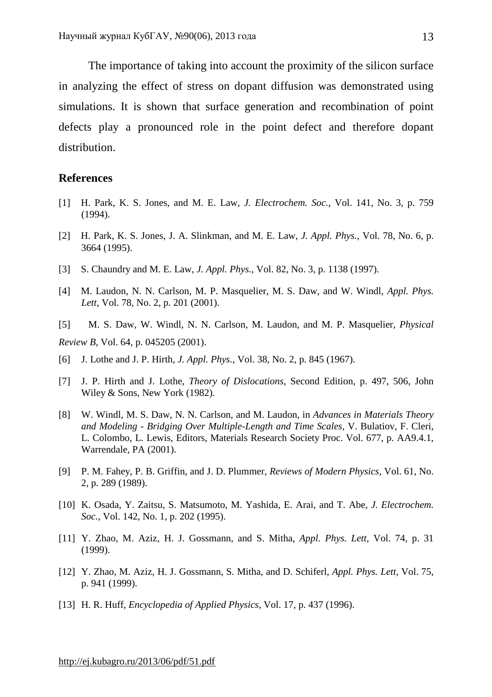The importance of taking into account the proximity of the silicon surface in analyzing the effect of stress on dopant diffusion was demonstrated using simulations. It is shown that surface generation and recombination of point defects play a pronounced role in the point defect and therefore dopant distribution.

## **References**

- [1] H. Park, K. S. Jones, and M. E. Law, *J. Electrochem. Soc.*, Vol. 141, No. 3, p. 759 (1994).
- [2] H. Park, K. S. Jones, J. A. Slinkman, and M. E. Law, *J. Appl. Phys.*, Vol. 78, No. 6, p. 3664 (1995).
- [3] S. Chaundry and M. E. Law, *J. Appl. Phys.*, Vol. 82, No. 3, p. 1138 (1997).
- [4] M. Laudon, N. N. Carlson, M. P. Masquelier, M. S. Daw, and W. Windl, *Appl. Phys. Lett*, Vol. 78, No. 2, p. 201 (2001).
- [5] M. S. Daw, W. Windl, N. N. Carlson, M. Laudon, and M. P. Masquelier, *Physical Review B*, Vol. 64, p. 045205 (2001).
- [6] J. Lothe and J. P. Hirth, *J. Appl. Phys.*, Vol. 38, No. 2, p. 845 (1967).
- [7] J. P. Hirth and J. Lothe, *Theory of Dislocations*, Second Edition*,* p. 497, 506, John Wiley & Sons, New York (1982).
- [8] W. Windl, M. S. Daw, N. N. Carlson, and M. Laudon, in *Advances in Materials Theory and Modeling - Bridging Over Multiple-Length and Time Scales,* V. Bulatiov, F. Cleri, L. Colombo, L. Lewis, Editors, Materials Research Society Proc. Vol. 677, p. AA9.4.1, Warrendale, PA (2001).
- [9] P. M. Fahey, P. B. Griffin, and J. D. Plummer, *Reviews of Modern Physics,* Vol. 61, No. 2, p. 289 (1989).
- [10] K. Osada, Y. Zaitsu, S. Matsumoto, M. Yashida, E. Arai, and T. Abe, *J. Electrochem. Soc.*, Vol. 142, No. 1, p. 202 (1995).
- [11] Y. Zhao, M. Aziz, H. J. Gossmann, and S. Mitha, *Appl. Phys. Lett,* Vol. 74, p. 31 (1999).
- [12] Y. Zhao, M. Aziz, H. J. Gossmann, S. Mitha, and D. Schiferl, *Appl. Phys. Lett,* Vol. 75, p. 941 (1999).
- [13] H. R. Huff, *Encyclopedia of Applied Physics*, Vol. 17, p. 437 (1996).